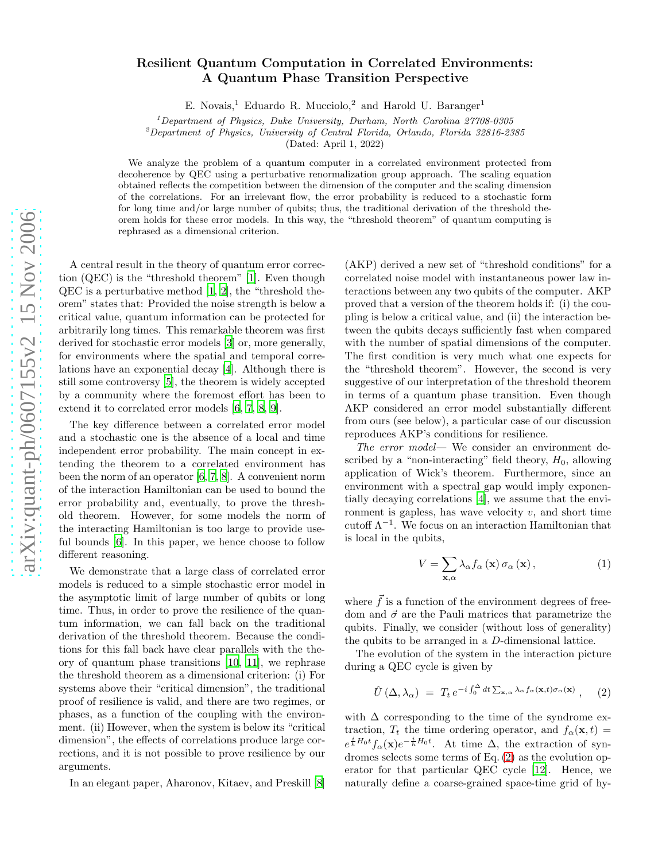## Resilient Quantum Computation in Correlated Environments : A Quantum Phase Transition Perspective

E. Novais,<sup>1</sup> Eduardo R. Mucciolo,<sup>2</sup> and Harold U. Baranger<sup>1</sup>

<sup>2</sup>Department of Physics, University of Central Florida, Orlando, Florida 32816-2385

(Dated: April 1, 2022)

We analyze the problem of a quantum computer in a correlated environment protected from decoherence by QEC using a perturbative renormalization group approach. The scaling equation obtained reflects the competition between the dimension of the computer and the scaling dimension of the correlations. For an irrelevant flow, the error probability is reduced to a stochastic form for long time and/or large number of qubits; thus, the traditional derivation of the threshold theorem holds for these error models. In this way, the "threshold theorem" of quantum computing is rephrased as a dimensional criterion.

A central result in the theory of quantum error correction (QEC) is the "threshold theorem" [\[1\]](#page-3-0). Even though QEC is a perturbative method [\[1](#page-3-0), [2\]](#page-3-1), the "threshold theorem" states that: Provided the noise strength is below a critical value, quantum information can be protected for arbitrarily long times. This remarkable theorem was first derived for stochastic error models [\[3](#page-3-2)] or, more generally, for environments where the spatial and temporal correlations have an exponential decay [\[4](#page-3-3)]. Although there is still some controversy [\[5\]](#page-3-4), the theorem is widely accepted by a community where the foremost effort has been to extend it to correlated error models [\[6,](#page-3-5) [7,](#page-3-6) [8,](#page-3-7) [9](#page-4-0)].

The key difference between a correlated error model and a stochastic one is the absence of a local and time independent error probability. The main concept in extending the theorem to a correlated environment has been the norm of an operator [\[6](#page-3-5), [7](#page-3-6), [8\]](#page-3-7). A convenient norm of the interaction Hamiltonian can be used to bound the error probability and, eventually, to prove the threshold theorem. However, for some models the norm of the interacting Hamiltonian is too large to provide useful bounds [\[6\]](#page-3-5). In this paper, we hence choose to follow different reasoning.

We demonstrate that a large class of correlated error models is reduced to a simple stochastic error model in the asymptotic limit of large number of qubits or long time. Thus, in order to prove the resilience of the quantum information, we can fall back on the traditional derivation of the threshold theorem. Because the conditions for this fall back have clear parallels with the theory of quantum phase transitions [\[10,](#page-4-1) [11\]](#page-4-2), we rephrase the threshold theorem as a dimensional criterion: (i) For systems above their "critical dimension", the traditional proof of resilience is valid, and there are two regimes, or phases, as a function of the coupling with the environment. (ii) However, when the system is below its "critical dimension", the effects of correlations produce large corrections, and it is not possible to prove resilience by our arguments.

In an elegant paper, Aharonov, Kitaev, and Preskill [\[8](#page-3-7)]

(AKP) derived a new set of "threshold conditions" for a correlated noise model with instantaneous power law interactions between any two qubits of the computer. AKP proved that a version of the theorem holds if: (i) the coupling is below a critical value, and (ii) the interaction between the qubits decays sufficiently fast when compared with the number of spatial dimensions of the computer. The first condition is very much what one expects for the "threshold theorem". However, the second is very suggestive of our interpretation of the threshold theorem in terms of a quantum phase transition. Even though AKP considered an error model substantially different from ours (see below), a particular case of our discussion reproduces AKP's conditions for resilience.

The error model— We consider an environment described by a "non-interacting" field theory,  $H_0$ , allowing application of Wick's theorem. Furthermore, since an environment with a spectral gap would imply exponentially decaying correlations [\[4\]](#page-3-3), we assume that the environment is gapless, has wave velocity  $v$ , and short time cutoff  $\Lambda^{-1}$ . We focus on an interaction Hamiltonian that is local in the qubits,

$$
V = \sum_{\mathbf{x}, \alpha} \lambda_{\alpha} f_{\alpha}(\mathbf{x}) \sigma_{\alpha}(\mathbf{x}), \qquad (1)
$$

where  $\vec{f}$  is a function of the environment degrees of freedom and  $\vec{\sigma}$  are the Pauli matrices that parametrize the qubits. Finally, we consider (without loss of generality) the qubits to be arranged in a D-dimensional lattice.

The evolution of the system in the interaction picture during a QEC cycle is given by

<span id="page-0-0"></span>
$$
\hat{U}(\Delta, \lambda_{\alpha}) = T_t e^{-i \int_0^{\Delta} dt \sum_{\mathbf{x}, \alpha} \lambda_{\alpha} f_{\alpha}(\mathbf{x}, t) \sigma_{\alpha}(\mathbf{x})}, \quad (2)
$$

with  $\Delta$  corresponding to the time of the syndrome extraction,  $T_t$  the time ordering operator, and  $f_\alpha(\mathbf{x}, t) =$  $e^{\frac{i}{\hbar}H_0t}f_\alpha(\mathbf{x})e^{-\frac{i}{\hbar}H_0t}$ . At time  $\Delta$ , the extraction of syndromes selects some terms of Eq. [\(2\)](#page-0-0) as the evolution operator for that particular QEC cycle [\[12\]](#page-4-3). Hence, we naturally define a coarse-grained space-time grid of hy-

<sup>&</sup>lt;sup>1</sup>Department of Physics, Duke University, Durham, North Carolina 27708-0305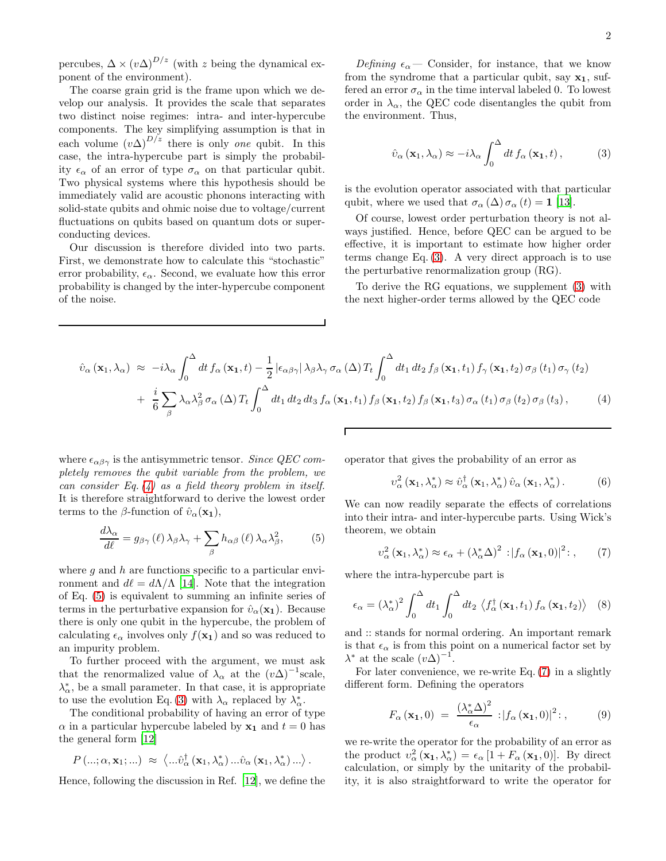percubes,  $\Delta \times (v\Delta)^{D/z}$  (with z being the dynamical exponent of the environment).

The coarse grain grid is the frame upon which we develop our analysis. It provides the scale that separates two distinct noise regimes: intra- and inter-hypercube components. The key simplifying assumption is that in each volume  $(v\Delta)^{D/z}$  there is only *one* qubit. In this case, the intra-hypercube part is simply the probability  $\epsilon_{\alpha}$  of an error of type  $\sigma_{\alpha}$  on that particular qubit. Two physical systems where this hypothesis should be immediately valid are acoustic phonons interacting with solid-state qubits and ohmic noise due to voltage/current fluctuations on qubits based on quantum dots or superconducting devices.

Our discussion is therefore divided into two parts. First, we demonstrate how to calculate this "stochastic" error probability,  $\epsilon_{\alpha}$ . Second, we evaluate how this error probability is changed by the inter-hypercube component of the noise.

Defining  $\epsilon_{\alpha}$ — Consider, for instance, that we know from the syndrome that a particular qubit, say  $x_1$ , suffered an error  $\sigma_{\alpha}$  in the time interval labeled 0. To lowest order in  $\lambda_{\alpha}$ , the QEC code disentangles the qubit from the environment. Thus,

<span id="page-1-0"></span>
$$
\hat{v}_{\alpha}(\mathbf{x}_{1}, \lambda_{\alpha}) \approx -i\lambda_{\alpha} \int_{0}^{\Delta} dt f_{\alpha}(\mathbf{x}_{1}, t), \qquad (3)
$$

is the evolution operator associated with that particular qubit, where we used that  $\sigma_{\alpha}(\Delta) \sigma_{\alpha}(t) = 1$  [\[13](#page-4-4)].

Of course, lowest order perturbation theory is not always justified. Hence, before QEC can be argued to be effective, it is important to estimate how higher order terms change Eq. [\(3\)](#page-1-0). A very direct approach is to use the perturbative renormalization group (RG).

To derive the RG equations, we supplement [\(3\)](#page-1-0) with the next higher-order terms allowed by the QEC code

<span id="page-1-1"></span>
$$
\hat{v}_{\alpha}(\mathbf{x}_{1},\lambda_{\alpha}) \approx -i\lambda_{\alpha} \int_{0}^{\Delta} dt f_{\alpha}(\mathbf{x}_{1},t) - \frac{1}{2} |\epsilon_{\alpha\beta\gamma}| \lambda_{\beta} \lambda_{\gamma} \sigma_{\alpha}(\Delta) T_{t} \int_{0}^{\Delta} dt_{1} dt_{2} f_{\beta}(\mathbf{x}_{1},t_{1}) f_{\gamma}(\mathbf{x}_{1},t_{2}) \sigma_{\beta}(t_{1}) \sigma_{\gamma}(t_{2}) \n+ \frac{i}{6} \sum_{\beta} \lambda_{\alpha} \lambda_{\beta}^{2} \sigma_{\alpha}(\Delta) T_{t} \int_{0}^{\Delta} dt_{1} dt_{2} dt_{3} f_{\alpha}(\mathbf{x}_{1},t_{1}) f_{\beta}(\mathbf{x}_{1},t_{2}) f_{\beta}(\mathbf{x}_{1},t_{3}) \sigma_{\alpha}(t_{1}) \sigma_{\beta}(t_{2}) \sigma_{\beta}(t_{3}),
$$
\n(4)

where  $\epsilon_{\alpha\beta\gamma}$  is the antisymmetric tensor. Since QEC completely removes the qubit variable from the problem, we can consider Eq.  $(4)$  as a field theory problem in itself. It is therefore straightforward to derive the lowest order terms to the  $\beta$ -function of  $\hat{v}_{\alpha}(\mathbf{x_1}),$ 

<span id="page-1-2"></span>
$$
\frac{d\lambda_{\alpha}}{d\ell} = g_{\beta\gamma}(\ell) \lambda_{\beta} \lambda_{\gamma} + \sum_{\beta} h_{\alpha\beta}(\ell) \lambda_{\alpha} \lambda_{\beta}^{2},
$$
 (5)

where g and h are functions specific to a particular environment and  $d\ell = d\Lambda/\Lambda$  [\[14](#page-4-5)]. Note that the integration of Eq. [\(5\)](#page-1-2) is equivalent to summing an infinite series of terms in the perturbative expansion for  $\hat{v}_{\alpha}(\mathbf{x}_1)$ . Because there is only one qubit in the hypercube, the problem of calculating  $\epsilon_{\alpha}$  involves only  $f(\mathbf{x}_1)$  and so was reduced to an impurity problem.

To further proceed with the argument, we must ask that the renormalized value of  $\lambda_{\alpha}$  at the  $(v\Delta)^{-1}$ scale,  $\lambda^*_\alpha,$  be a small parameter. In that case, it is appropriate to use the evolution Eq. [\(3\)](#page-1-0) with  $\lambda_{\alpha}$  replaced by  $\lambda_{\alpha}^{*}$ .

The conditional probability of having an error of type  $\alpha$  in a particular hypercube labeled by  $x_1$  and  $t = 0$  has the general form [\[12\]](#page-4-3)

$$
P(\ldots; \alpha, \mathbf{x}_1; \ldots) \,\,\approx\,\, \left\langle \ldots \hat{v}_{\alpha}^{\dagger}\left(\mathbf{x}_1, \lambda_{\alpha}^*\right) \ldots \hat{v}_{\alpha}\left(\mathbf{x}_1, \lambda_{\alpha}^*\right) \ldots \right\rangle.
$$

Hence, following the discussion in Ref. [\[12\]](#page-4-3), we define the

operator that gives the probability of an error as

$$
v_{\alpha}^{2}\left(\mathbf{x}_{1}, \lambda_{\alpha}^{*}\right) \approx \hat{v}_{\alpha}^{\dagger}\left(\mathbf{x}_{1}, \lambda_{\alpha}^{*}\right) \hat{v}_{\alpha}\left(\mathbf{x}_{1}, \lambda_{\alpha}^{*}\right). \tag{6}
$$

We can now readily separate the effects of correlations into their intra- and inter-hypercube parts. Using Wick's theorem, we obtain

<span id="page-1-3"></span>
$$
v_{\alpha}^{2}(\mathbf{x}_{1}, \lambda_{\alpha}^{*}) \approx \epsilon_{\alpha} + (\lambda_{\alpha}^{*}\Delta)^{2} : |f_{\alpha}(\mathbf{x}_{1}, 0)|^{2} : , \qquad (7)
$$

where the intra-hypercube part is

$$
\epsilon_{\alpha} = (\lambda_{\alpha}^{*})^{2} \int_{0}^{\Delta} dt_{1} \int_{0}^{\Delta} dt_{2} \langle f_{\alpha}^{\dagger}(\mathbf{x_{1}}, t_{1}) f_{\alpha}(\mathbf{x_{1}}, t_{2}) \rangle \quad (8)
$$

and :: stands for normal ordering. An important remark is that  $\epsilon_{\alpha}$  is from this point on a numerical factor set by  $\lambda^*$  at the scale  $(v\Delta)^{-1}$ .

For later convenience, we re-write Eq. [\(7\)](#page-1-3) in a slightly different form. Defining the operators

<span id="page-1-4"></span>
$$
F_{\alpha}\left(\mathbf{x_1},0\right) = \frac{\left(\lambda_{\alpha}^*\Delta\right)^2}{\epsilon_{\alpha}} : |f_{\alpha}\left(\mathbf{x_1},0\right)|^2 : , \tag{9}
$$

we re-write the operator for the probability of an error as the product  $v_{\alpha}^2(\mathbf{x}_1, \lambda_{\alpha}^*) = \epsilon_{\alpha} [1 + F_{\alpha}(\mathbf{x}_1, 0)].$  By direct calculation, or simply by the unitarity of the probability, it is also straightforward to write the operator for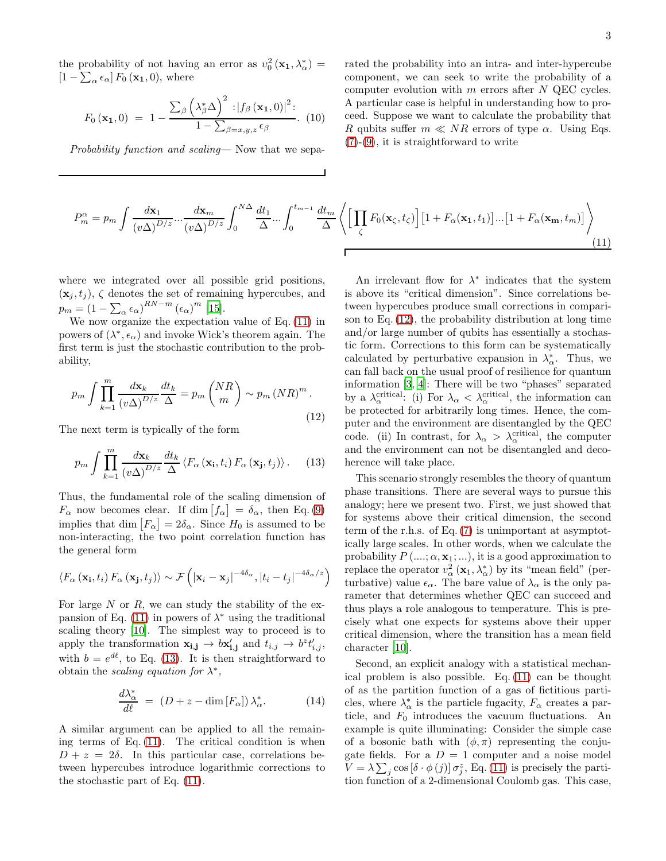the probability of not having an error as  $v_0^2(\mathbf{x}_1, \lambda_\alpha^*)$  =  $\left[1-\sum_\alpha \epsilon_\alpha\right] F_0\left(\mathbf{x_1},0\right)$ , where

$$
F_0\left(\mathbf{x_1},0\right) = 1 - \frac{\sum_{\beta} \left(\lambda_{\beta}^* \Delta\right)^2 : \left|f_{\beta}\left(\mathbf{x_1},0\right)\right|^2:}{1 - \sum_{\beta=x,y,z} \epsilon_{\beta}}.
$$
 (10)

Probability function and scaling— Now that we sepa-

rated the probability into an intra- and inter-hypercube component, we can seek to write the probability of a computer evolution with  $m$  errors after  $N$  QEC cycles. A particular case is helpful in understanding how to proceed. Suppose we want to calculate the probability that R qubits suffer  $m \ll NR$  errors of type  $\alpha$ . Using Eqs. [\(7\)](#page-1-3)-[\(9\)](#page-1-4), it is straightforward to write

<span id="page-2-0"></span>
$$
P_m^{\alpha} = p_m \int \frac{d\mathbf{x}_1}{(v\Delta)^{D/z}} \cdots \frac{d\mathbf{x}_m}{(v\Delta)^{D/z}} \int_0^{N\Delta} \frac{dt_1}{\Delta} \cdots \int_0^{t_{m-1}} \frac{dt_m}{\Delta} \left\langle \left[ \prod_{\zeta} F_0(\mathbf{x}_{\zeta}, t_{\zeta}) \right] \left[ 1 + F_{\alpha}(\mathbf{x}_1, t_1) \right] \cdots \left[ 1 + F_{\alpha}(\mathbf{x}_m, t_m) \right] \right\rangle \tag{11}
$$

where we integrated over all possible grid positions,  $(\mathbf{x}_i, t_i)$ ,  $\zeta$  denotes the set of remaining hypercubes, and  $p_m = \left(1 - \sum_{\alpha} \epsilon_{\alpha}\right)^{RN-m} \left(\epsilon_{\alpha}\right)^m$  [\[15\]](#page-4-6).

We now organize the expectation value of Eq. [\(11\)](#page-2-0) in powers of  $(\lambda^*, \epsilon_\alpha)$  and invoke Wick's theorem again. The first term is just the stochastic contribution to the probability,

<span id="page-2-2"></span>
$$
p_m \int \prod_{k=1}^m \frac{d\mathbf{x}_k}{(v\Delta)^{D/z}} \frac{dt_k}{\Delta} = p_m \binom{NR}{m} \sim p_m \left( NR \right)^m. \tag{12}
$$

The next term is typically of the form

<span id="page-2-1"></span>
$$
p_m \int \prod_{k=1}^m \frac{d\mathbf{x}_k}{(v\Delta)^{D/z}} \frac{dt_k}{\Delta} \left\langle F_\alpha\left(\mathbf{x}_i, t_i\right) F_\alpha\left(\mathbf{x}_j, t_j\right) \right\rangle. \tag{13}
$$

Thus, the fundamental role of the scaling dimension of  $F_{\alpha}$  now becomes clear. If dim  $[f_{\alpha}] = \delta_{\alpha}$ , then Eq. [\(9\)](#page-1-4) implies that dim  $[F_{\alpha}] = 2\delta_{\alpha}$ . Since  $H_0$  is assumed to be non-interacting, the two point correlation function has the general form

$$
\langle F_{\alpha}(\mathbf{x_i}, t_i) F_{\alpha}(\mathbf{x_j}, t_j) \rangle \sim \mathcal{F}\left(|\mathbf{x}_i - \mathbf{x}_j|^{-4\delta_{\alpha}}, |t_i - t_j|^{-4\delta_{\alpha}/z}\right)
$$

For large  $N$  or  $R$ , we can study the stability of the ex-pansion of Eq. [\(11\)](#page-2-0) in powers of  $\lambda^*$  using the traditional scaling theory [\[10\]](#page-4-1). The simplest way to proceed is to apply the transformation  $\mathbf{x}_{i,j} \to b\mathbf{x}'_{i,j}$  and  $t_{i,j} \to b^z t'_{i,j}$ , with  $b = e^{d\ell}$ , to Eq. [\(13\)](#page-2-1). It is then straightforward to obtain the scaling equation for  $\lambda^*$ ,

<span id="page-2-3"></span>
$$
\frac{d\lambda_{\alpha}^{*}}{d\ell} = (D + z - \dim[F_{\alpha}])\lambda_{\alpha}^{*}.
$$
 (14)

A similar argument can be applied to all the remaining terms of Eq.  $(11)$ . The critical condition is when  $D + z = 2\delta$ . In this particular case, correlations between hypercubes introduce logarithmic corrections to the stochastic part of Eq. [\(11\)](#page-2-0).

An irrelevant flow for  $\lambda^*$  indicates that the system is above its "critical dimension". Since correlations between hypercubes produce small corrections in comparison to Eq. [\(12\)](#page-2-2), the probability distribution at long time and/or large number of qubits has essentially a stochastic form. Corrections to this form can be systematically calculated by perturbative expansion in  $\lambda^*_{\alpha}$ . Thus, we can fall back on the usual proof of resilience for quantum information [\[3,](#page-3-2) [4\]](#page-3-3): There will be two "phases" separated by a  $\lambda_{\alpha}^{\text{critical}}$ : (i) For  $\lambda_{\alpha} < \lambda_{\alpha}^{\text{critical}}$ , the information can be protected for arbitrarily long times. Hence, the computer and the environment are disentangled by the QEC code. (ii) In contrast, for  $\lambda_{\alpha} > \lambda_{\alpha}^{\text{critical}}$ , the computer and the environment can not be disentangled and decoherence will take place.

This scenario strongly resembles the theory of quantum phase transitions. There are several ways to pursue this analogy; here we present two. First, we just showed that for systems above their critical dimension, the second term of the r.h.s. of Eq. [\(7\)](#page-1-3) is unimportant at asymptotically large scales. In other words, when we calculate the probability  $P$  (....;  $\alpha$ ,  $\mathbf{x}_1$ ; ...), it is a good approximation to replace the operator  $v_{\alpha}^{2}(\mathbf{x}_{1}, \lambda_{\alpha}^{*})$  by its "mean field" (perturbative) value  $\epsilon_{\alpha}$ . The bare value of  $\lambda_{\alpha}$  is the only parameter that determines whether QEC can succeed and thus plays a role analogous to temperature. This is precisely what one expects for systems above their upper critical dimension, where the transition has a mean field character [\[10](#page-4-1)].

Second, an explicit analogy with a statistical mechanical problem is also possible. Eq. [\(11\)](#page-2-0) can be thought of as the partition function of a gas of fictitious particles, where  $\lambda^*_{\alpha}$  is the particle fugacity,  $F_{\alpha}$  creates a particle, and  $F_0$  introduces the vacuum fluctuations. An example is quite illuminating: Consider the simple case of a bosonic bath with  $(\phi, \pi)$  representing the conjugate fields. For a  $D = 1$  computer and a noise model  $V = \lambda \sum_j \cos[\delta \cdot \phi(j)] \sigma_j^z$ , Eq. [\(11\)](#page-2-0) is precisely the partition function of a 2-dimensional Coulomb gas. This case,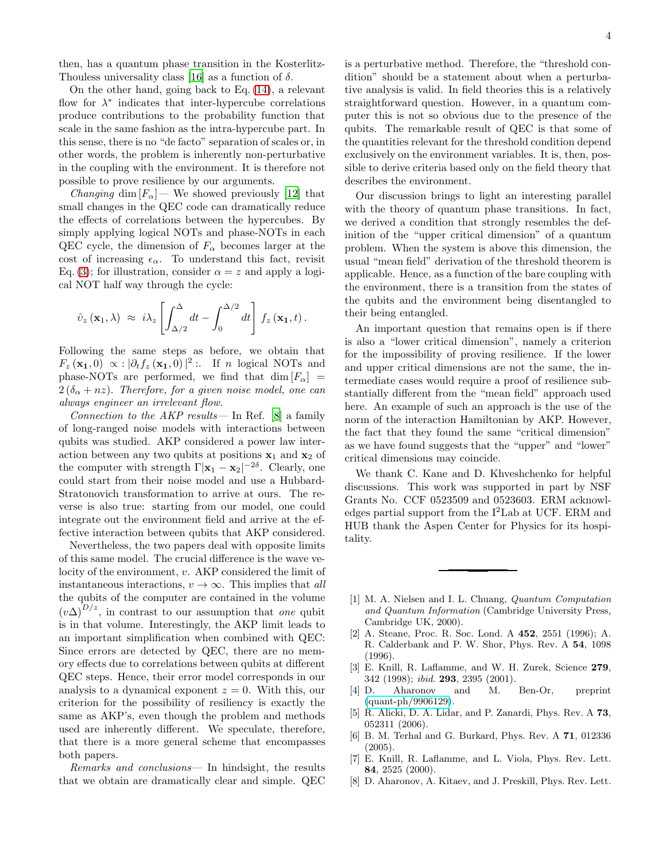On the other hand, going back to Eq. [\(14\)](#page-2-3), a relevant flow for  $\lambda^*$  indicates that inter-hypercube correlations produce contributions to the probability function that scale in the same fashion as the intra-hypercube part. In this sense, there is no "de facto" separation of scales or, in other words, the problem is inherently non-perturbative in the coupling with the environment. It is therefore not possible to prove resilience by our arguments.

*Changing* dim  $[F_\alpha]$ — We showed previously [\[12\]](#page-4-3) that small changes in the QEC code can dramatically reduce the effects of correlations between the hypercubes. By simply applying logical NOTs and phase-NOTs in each QEC cycle, the dimension of  $F_{\alpha}$  becomes larger at the cost of increasing  $\epsilon_{\alpha}$ . To understand this fact, revisit Eq. [\(3\)](#page-1-0); for illustration, consider  $\alpha = z$  and apply a logical NOT half way through the cycle:

$$
\hat{v}_z(\mathbf{x}_1, \lambda) \approx i\lambda_z \left[ \int_{\Delta/2}^{\Delta} dt - \int_0^{\Delta/2} dt \right] f_z(\mathbf{x}_1, t).
$$

Following the same steps as before, we obtain that  $F_z(\mathbf{x_1},0) \propto : |\partial_t f_z(\mathbf{x_1},0)|^2$ : If n logical NOTs and phase-NOTs are performed, we find that dim  $[F_{\alpha}]$  =  $2(\delta_{\alpha}+n z)$ . Therefore, for a given noise model, one can always engineer an irrelevant flow.

*Connection to the AKP results*— In Ref. [\[8\]](#page-3-7) a family of long-ranged noise models with interactions between qubits was studied. AKP considered a power law interaction between any two qubits at positions  $x_1$  and  $x_2$  of the computer with strength  $\Gamma | \mathbf{x}_1 - \mathbf{x}_2 |^{-2\delta}$ . Clearly, one could start from their noise model and use a Hubbard-Stratonovich transformation to arrive at ours. The reverse is also true: starting from our model, one could integrate out the environment field and arrive at the effective interaction between qubits that AKP considered.

Nevertheless, the two papers deal with opposite limits of this same model. The crucial difference is the wave velocity of the environment, v. AKP considered the limit of instantaneous interactions,  $v \to \infty$ . This implies that all the qubits of the computer are contained in the volume  $(v\Delta)^{D/z}$ , in contrast to our assumption that *one* qubit is in that volume. Interestingly, the AKP limit leads to an important simplification when combined with QEC: Since errors are detected by QEC, there are no memory effects due to correlations between qubits at different QEC steps. Hence, their error model corresponds in our analysis to a dynamical exponent  $z = 0$ . With this, our criterion for the possibility of resiliency is exactly the same as AKP's, even though the problem and methods used are inherently different. We speculate, therefore, that there is a more general scheme that encompasses both papers.

Remarks and conclusions— In hindsight, the results that we obtain are dramatically clear and simple. QEC is a perturbative method. Therefore, the "threshold condition" should be a statement about when a perturbative analysis is valid. In field theories this is a relatively straightforward question. However, in a quantum computer this is not so obvious due to the presence of the qubits. The remarkable result of QEC is that some of the quantities relevant for the threshold condition depend exclusively on the environment variables. It is, then, possible to derive criteria based only on the field theory that describes the environment.

Our discussion brings to light an interesting parallel with the theory of quantum phase transitions. In fact, we derived a condition that strongly resembles the definition of the "upper critical dimension" of a quantum problem. When the system is above this dimension, the usual "mean field" derivation of the threshold theorem is applicable. Hence, as a function of the bare coupling with the environment, there is a transition from the states of the qubits and the environment being disentangled to their being entangled.

An important question that remains open is if there is also a "lower critical dimension", namely a criterion for the impossibility of proving resilience. If the lower and upper critical dimensions are not the same, the intermediate cases would require a proof of resilience substantially different from the "mean field" approach used here. An example of such an approach is the use of the norm of the interaction Hamiltonian by AKP. However, the fact that they found the same "critical dimension" as we have found suggests that the "upper" and "lower" critical dimensions may coincide.

We thank C. Kane and D. Khveshchenko for helpful discussions. This work was supported in part by NSF Grants No. CCF 0523509 and 0523603. ERM acknowledges partial support from the  $I^2$ Lab at UCF. ERM and HUB thank the Aspen Center for Physics for its hospitality.

- <span id="page-3-0"></span>[1] M. A. Nielsen and I. L. Chuang, Quantum Computation and Quantum Information (Cambridge University Press, Cambridge UK, 2000).
- <span id="page-3-1"></span>[2] A. Steane, Proc. R. Soc. Lond. A 452, 2551 (1996); A. R. Calderbank and P. W. Shor, Phys. Rev. A 54, 1098 (1996).
- <span id="page-3-2"></span>[3] E. Knill, R. Laflamme, and W. H. Zurek, Science 279, 342 (1998); ibid. 293, 2395 (2001).
- <span id="page-3-3"></span>[4] D. Aharonov and M. Ben-Or, preprint [\(quant-ph/9906129\)](http://arxiv.org/abs/quant-ph/9906129).
- <span id="page-3-4"></span>[5] R. Alicki, D. A. Lidar, and P. Zanardi, Phys. Rev. A 73, 052311 (2006).
- <span id="page-3-5"></span>[6] B. M. Terhal and G. Burkard, Phys. Rev. A 71, 012336 (2005).
- <span id="page-3-6"></span>[7] E. Knill, R. Laflamme, and L. Viola, Phys. Rev. Lett. 84, 2525 (2000).
- <span id="page-3-7"></span>[8] D. Aharonov, A. Kitaev, and J. Preskill, Phys. Rev. Lett.